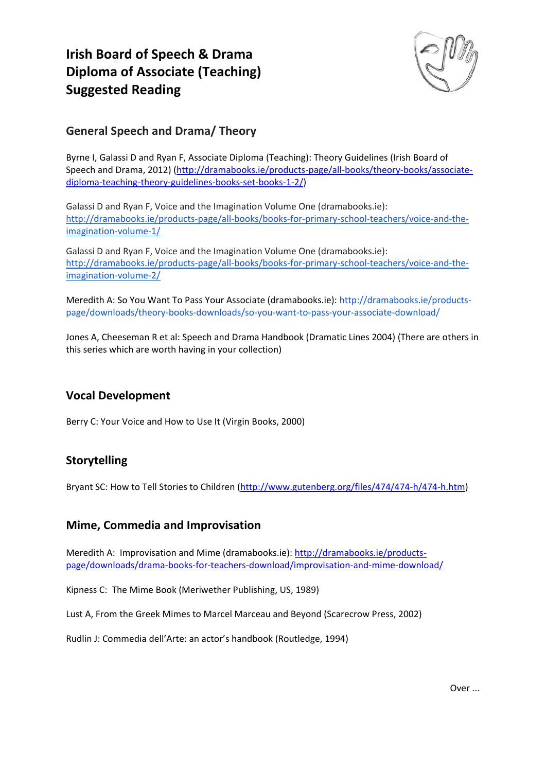# **Irish Board of Speech & Drama Diploma of Associate (Teaching) Suggested Reading**



## **General Speech and Drama/ Theory**

Byrne I, Galassi D and Ryan F, Associate Diploma (Teaching): Theory Guidelines (Irish Board of Speech and Drama, 2012) (http://dramabooks.ie/products‐page/all‐books/theory‐books/associate‐ diploma‐teaching‐theory‐guidelines‐books‐set‐books‐1‐2/)

Galassi D and Ryan F, Voice and the Imagination Volume One (dramabooks.ie): http://dramabooks.ie/products‐page/all‐books/books‐for‐primary‐school‐teachers/voice‐and‐the‐ imagination‐volume‐1/

Galassi D and Ryan F, Voice and the Imagination Volume One (dramabooks.ie): http://dramabooks.ie/products-page/all-books/books-for-primary-school-teachers/voice-and-theimagination‐volume‐2/

Meredith A: So You Want To Pass Your Associate (dramabooks.ie): http://dramabooks.ie/products‐ page/downloads/theory‐books‐downloads/so‐you‐want‐to‐pass‐your‐associate‐download/

Jones A, Cheeseman R et al: Speech and Drama Handbook (Dramatic Lines 2004) (There are others in this series which are worth having in your collection)

#### **Vocal Development**

Berry C: Your Voice and How to Use It (Virgin Books, 2000)

## **Storytelling**

Bryant SC: How to Tell Stories to Children (http://www.gutenberg.org/files/474/474‐h/474‐h.htm)

#### **Mime, Commedia and Improvisation**

Meredith A: Improvisation and Mime (dramabooks.ie): http://dramabooks.ie/products‐ page/downloads/drama‐books‐for‐teachers‐download/improvisation‐and‐mime‐download/

Kipness C: The Mime Book (Meriwether Publishing, US, 1989)

Lust A, From the Greek Mimes to Marcel Marceau and Beyond (Scarecrow Press, 2002)

Rudlin J: Commedia dell'Arte: an actor's handbook (Routledge, 1994)